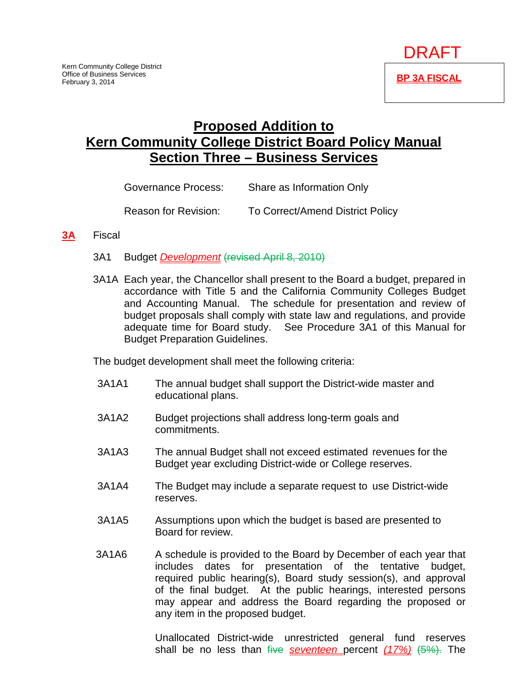

# **Proposed Addition to Kern Community College District Board Policy Manual Section Three – Business Services**

| Governance Process:         | Share as Information Only        |  |  |
|-----------------------------|----------------------------------|--|--|
| <b>Reason for Revision:</b> | To Correct/Amend District Policy |  |  |

#### **3A** Fiscal

- 3A1 Budget *Development* (revised April 8, 2010)
- 3A1A Each year, the Chancellor shall present to the Board a budget, prepared in accordance with Title 5 and the California Community Colleges Budget and Accounting Manual. The schedule for presentation and review of budget proposals shall comply with state law and regulations, and provide adequate time for Board study. See Procedure 3A1 of this Manual for Budget Preparation Guidelines.

The budget development shall meet the following criteria:

- 3A1A1 The annual budget shall support the District-wide master and educational plans.
- 3A1A2 Budget projections shall address long-term goals and commitments.
- 3A1A3 The annual Budget shall not exceed estimated revenues for the Budget year excluding District-wide or College reserves.
- 3A1A4 The Budget may include a separate request to use District-wide reserves.
- 3A1A5 Assumptions upon which the budget is based are presented to Board for review.
- 3A1A6 A schedule is provided to the Board by December of each year that includes dates for presentation of the tentative budget, required public hearing(s), Board study session(s), and approval of the final budget. At the public hearings, interested persons may appear and address the Board regarding the proposed or any item in the proposed budget.

Unallocated District-wide unrestricted general fund reserves shall be no less than five *seventeen* percent *(17%)* (5%). The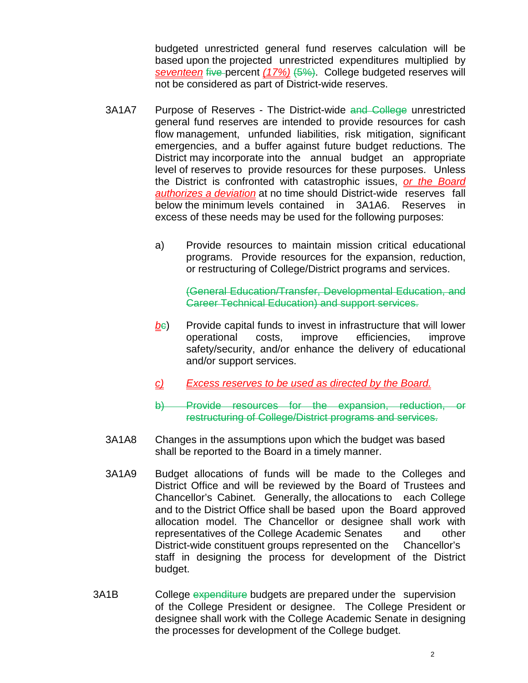budgeted unrestricted general fund reserves calculation will be based upon the projected unrestricted expenditures multiplied by *seventeen* five percent *(17%)* (5%). College budgeted reserves will not be considered as part of District-wide reserves.

- 3A1A7 Purpose of Reserves The District-wide and College unrestricted general fund reserves are intended to provide resources for cash flow management, unfunded liabilities, risk mitigation, significant emergencies, and a buffer against future budget reductions. The District may incorporate into the annual budget an appropriate level of reserves to provide resources for these purposes. Unless the District is confronted with catastrophic issues, *or the Board authorizes a deviation* at no time should District-wide reserves fall below the minimum levels contained in 3A1A6. Reserves in excess of these needs may be used for the following purposes:
	- a) Provide resources to maintain mission critical educational programs. Provide resources for the expansion, reduction, or restructuring of College/District programs and services.

(General Education/Transfer, Developmental Education, and Career Technical Education) and support services.

- **b**<sub>c</sub>) Provide capital funds to invest in infrastructure that will lower operational costs, improve efficiencies, improve safety/security, and/or enhance the delivery of educational and/or support services.
- *c) Excess reserves to be used as directed by the Board.*
- b) Provide resources for the expansion, reduction, or restructuring of College/District programs and services.
- 3A1A8 Changes in the assumptions upon which the budget was based shall be reported to the Board in a timely manner.
- 3A1A9 Budget allocations of funds will be made to the Colleges and District Office and will be reviewed by the Board of Trustees and Chancellor's Cabinet. Generally, the allocations to each College and to the District Office shall be based upon the Board approved allocation model. The Chancellor or designee shall work with representatives of the College Academic Senates and other District-wide constituent groups represented on the Chancellor's staff in designing the process for development of the District budget.
- 3A1B College expenditure budgets are prepared under the supervision of the College President or designee. The College President or designee shall work with the College Academic Senate in designing the processes for development of the College budget.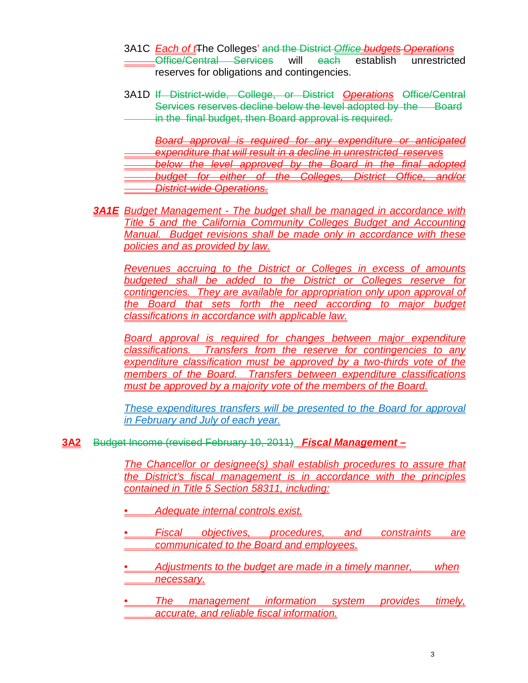- 3A1C *Each of t*The Colleges' and the District *Office budgets Operations* Office/Central Services will each establish unrestricted reserves for obligations and contingencies.
- 3A1D If District-wide, College, or District *Operations* Office/Central Services reserves decline below the level adopted by the Board in the final budget, then Board approval is required.

*Board approval is required for any expenditure or anticipated expenditure that will result in a decline in unrestricted reserves*  **below the level approved by the Board in the final adopted** *budget for either of the Colleges, District Office, and/or District-wide Operations.*

*3A1E Budget Management - The budget shall be managed in accordance with Title 5 and the California Community Colleges Budget and Accounting Manual. Budget revisions shall be made only in accordance with these policies and as provided by law.*

*Revenues accruing to the District or Colleges in excess of amounts budgeted shall be added to the District or Colleges reserve for contingencies. They are available for appropriation only upon approval of the Board that sets forth the need according to major budget classifications in accordance with applicable law.*

**Board approval is required for changes between major expenditure** *classifications. Transfers from the reserve for contingencies to any expenditure classification must be approved by a two-thirds vote of the members of the Board. Transfers between expenditure classifications must be approved by a majority vote of the members of the Board.*

*These expenditures transfers will be presented to the Board for approval in February and July of each year.*

## **3A2** Budget Income (revised February 10, 2011) *Fiscal Management –*

*The Chancellor or designee(s) shall establish procedures to assure that the District's fiscal management is in accordance with the principles contained in Title 5 Section 58311, including:*

- *• Adequate internal controls exist.*
- *• Fiscal objectives, procedures, and constraints are communicated to the Board and employees.*
- *• Adjustments to the budget are made in a timely manner, when necessary.*
- *• The management information system provides timely, accurate, and reliable fiscal information.*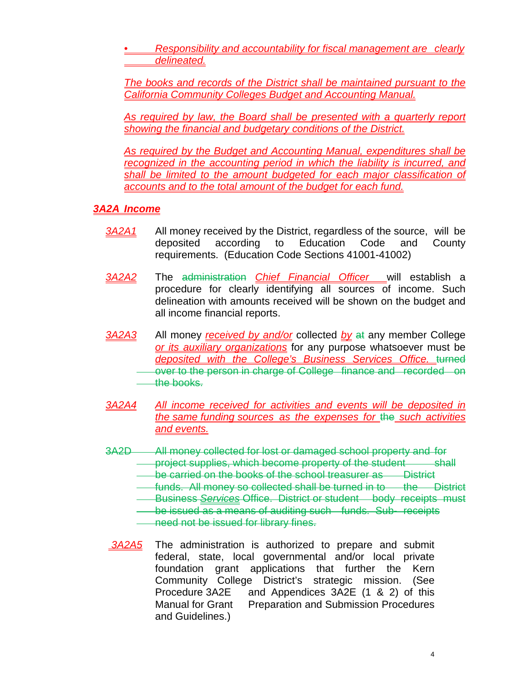*• Responsibility and accountability for fiscal management are clearly delineated.*

*The books and records of the District shall be maintained pursuant to the California Community Colleges Budget and Accounting Manual.*

*As required by law, the Board shall be presented with a quarterly report showing the financial and budgetary conditions of the District.*

*As required by the Budget and Accounting Manual, expenditures shall be recognized in the accounting period in which the liability is incurred, and shall be limited to the amount budgeted for each major classification of accounts and to the total amount of the budget for each fund.*

# *3A2A Income*

- *3A2A1* All money received by the District, regardless of the source, will be deposited according to Education Code and County requirements. (Education Code Sections 41001-41002)
- *3A2A2* The administration *Chief Financial Officer* will establish a procedure for clearly identifying all sources of income. Such delineation with amounts received will be shown on the budget and all income financial reports.
- *3A2A3* All money *received by and/or* collected *by* at any member College *or its auxiliary organizations* for any purpose whatsoever must be *deposited with the College's Business Services Office.* turned over to the person in charge of College finance and recorded on the books.
- *3A2A4 All income received for activities and events will be deposited in the same funding sources as the expenses for* the *such activities and events.*
- 3A2D All money collected for lost or damaged school property and for project supplies, which become property of the student shall
	- be carried on the books of the school treasurer as District
	- funds. All money so collected shall be turned in to the District
	- **Business Services Office. District or student body receipts must**
	- be issued as a means of auditing such funds. Sub- receipts **need not be issued for library fines.**
- *3A2A5* The administration is authorized to prepare and submit federal, state, local governmental and/or local private foundation grant applications that further the Kern Community College District's strategic mission. (See Procedure 3A2E and Appendices 3A2E (1 & 2) of this Manual for Grant Preparation and Submission Procedures and Guidelines.)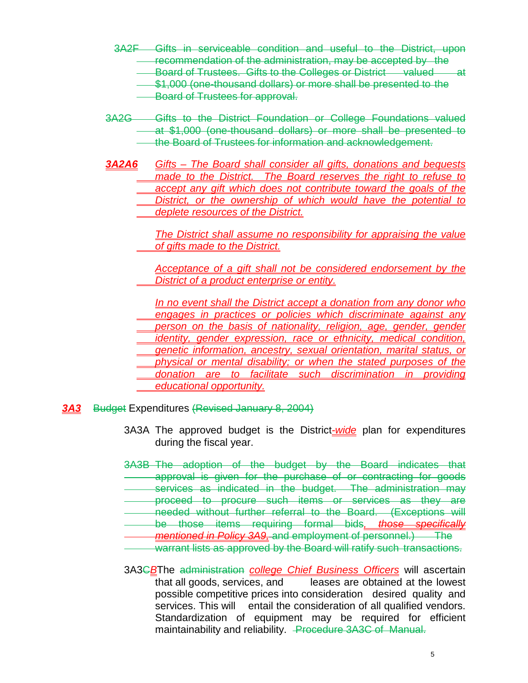- 3A2F Gifts in serviceable condition and useful to the District, upon recommendation of the administration, may be accepted by the Board of Trustees. Gifts to the Colleges or District valued at \$1,000 (one-thousand dollars) or more shall be presented to the **Board of Trustees for approval.**
- 3A2G Gifts to the District Foundation or College Foundations valued at \$1,000 (one-thousand dollars) or more shall be presented to the Board of Trustees for information and acknowledgement.
- *3A2A6 Gifts – The Board shall consider all gifts, donations and bequests made to the District. The Board reserves the right to refuse to accept any gift which does not contribute toward the goals of the District, or the ownership of which would have the potential to deplete resources of the District.*

*The District shall assume no responsibility for appraising the value of gifts made to the District.*

*Acceptance of a gift shall not be considered endorsement by the District of a product enterprise or entity.*

*In no event shall the District accept a donation from any donor who engages in practices or policies which discriminate against any person on the basis of nationality, religion, age, gender, gender identity, gender expression, race or ethnicity, medical condition, genetic information, ancestry, sexual orientation, marital status, or physical or mental disability; or when the stated purposes of the donation are to facilitate such discrimination in providing educational opportunity.*

## *3A3* Budget Expenditures (Revised January 8, 2004)

- 3A3A The approved budget is the District*-wide* plan for expenditures during the fiscal year.
- 3A3B The adoption of the budget by the Board indicates that approval is given for the purchase of or contracting for goods services as indicated in the budget. The administration may proceed to procure such items or services as they are needed without further referral to the Board. (Exceptions will be those items requiring formal bids*, those specifically*
- *mentioned in Policy 3A9,* and employment of personnel.) The
- warrant lists as approved by the Board will ratify such transactions.
- 3A3C*B*The administration *college Chief Business Officers* will ascertain that all goods, services, and leases are obtained at the lowest possible competitive prices into consideration desired quality and services. This will entail the consideration of all qualified vendors. Standardization of equipment may be required for efficient maintainability and reliability. Procedure 3A3C of Manual.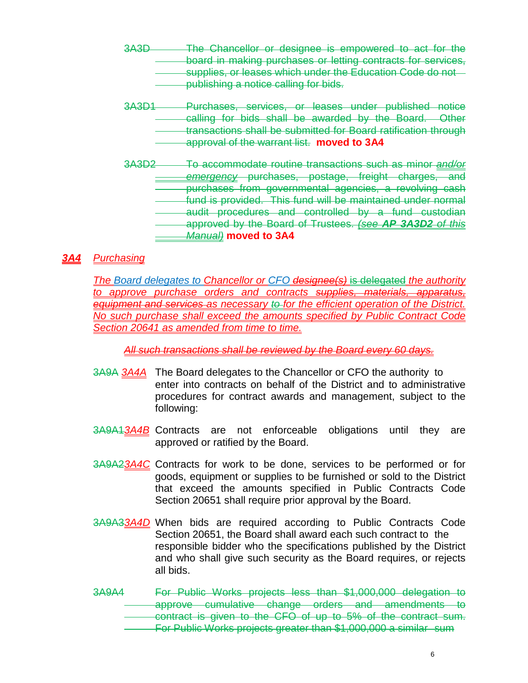- 3A3D The Chancellor or designee is empowered to act for the board in making purchases or letting contracts for services, supplies, or leases which under the Education Code do not publishing a notice calling for bids.
- 3A3D1 Purchases, services, or leases under published notice calling for bids shall be awarded by the Board. Other transactions shall be submitted for Board ratification through approval of the warrant list. **moved to 3A4**
- 3A3D2 To accommodate routine transactions such as minor *and/or emergency* purchases, postage, freight charges, and purchases from governmental agencies, a revolving cash fund is provided. This fund will be maintained under normal audit procedures and controlled by a fund custodian approved by the Board of Trustees. *(see AP 3A3D2 of this Manual)* **moved to 3A4**

# *3A4 Purchasing*

*The Board delegates to Chancellor or CFO designee(s)* is delegated *the authority to approve purchase orders and contracts supplies, materials, apparatus, equipment and services as necessary to for the efficient operation of the District. No such purchase shall exceed the amounts specified by Public Contract Code Section 20641 as amended from time to time.*

*All such transactions shall be reviewed by the Board every 60 days.*

- 3A9A *3A4A* The Board delegates to the Chancellor or CFO the authority to enter into contracts on behalf of the District and to administrative procedures for contract awards and management, subject to the following:
- 3A9A1*3A4B* Contracts are not enforceable obligations until they are approved or ratified by the Board.
- 3A9A2*3A4C* Contracts for work to be done, services to be performed or for goods, equipment or supplies to be furnished or sold to the District that exceed the amounts specified in Public Contracts Code Section 20651 shall require prior approval by the Board.
- 3A9A3*3A4D* When bids are required according to Public Contracts Code Section 20651, the Board shall award each such contract to the responsible bidder who the specifications published by the District and who shall give such security as the Board requires, or rejects all bids.
- 3A9A4 For Public Works projects less than \$1,000,000 delegation to approve cumulative change orders and amendments to contract is given to the CFO of up to 5% of the contract sum. For Public Works projects greater than \$1,000,000 a similar sum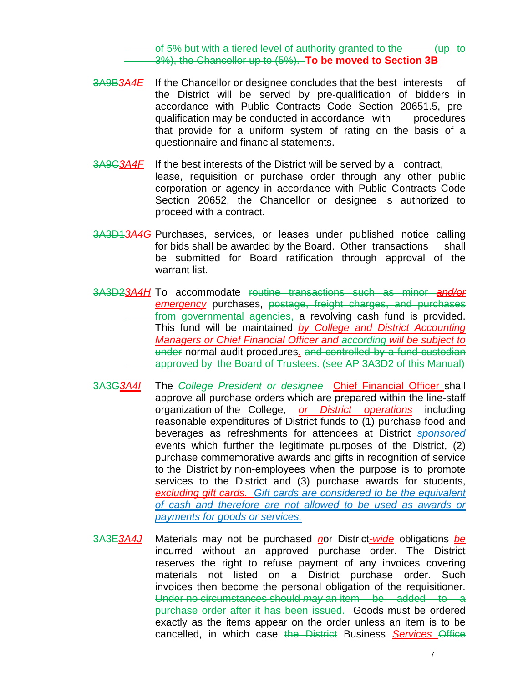of  $5%$  but with a tiered level of authority granted to the  $(up$  to 3%), the Chancellor up to (5%). **To be moved to Section 3B**

- 3A9B*3A4E* If the Chancellor or designee concludes that the best interests of the District will be served by pre-qualification of bidders in accordance with Public Contracts Code Section 20651.5, prequalification may be conducted in accordance with procedures that provide for a uniform system of rating on the basis of a questionnaire and financial statements.
- 3A9C*3A4F* If the best interests of the District will be served by a contract, lease, requisition or purchase order through any other public corporation or agency in accordance with Public Contracts Code Section 20652, the Chancellor or designee is authorized to proceed with a contract.
- 3A3D1*3A4G* Purchases, services, or leases under published notice calling for bids shall be awarded by the Board. Other transactions shall be submitted for Board ratification through approval of the warrant list.
- 3A3D2*3A4H* To accommodate routine transactions such as minor *and/or emergency* purchases, postage, freight charges, and purchases from governmental agencies, a revolving cash fund is provided. This fund will be maintained *by College and District Accounting Managers or Chief Financial Officer and according will be subject to*  under normal audit procedures*.* and controlled by a fund custodian approved by the Board of Trustees. (see AP 3A3D2 of this Manual)
- 3A3G*3A4I* The *College President or designee* Chief Financial Officer shall approve all purchase orders which are prepared within the line-staff organization of the College, *or District operations* including reasonable expenditures of District funds to (1) purchase food and beverages as refreshments for attendees at District *sponsored*  events which further the legitimate purposes of the District, (2) purchase commemorative awards and gifts in recognition of service to the District by non-employees when the purpose is to promote services to the District and (3) purchase awards for students, *excluding gift cards. Gift cards are considered to be the equivalent of cash and therefore are not allowed to be used as awards or payments for goods or services.*
- 3A3E*3A4J* Materials may not be purchased *n*or District*-wide* obligations *be* incurred without an approved purchase order. The District reserves the right to refuse payment of any invoices covering materials not listed on a District purchase order. Such invoices then become the personal obligation of the requisitioner. Under no circumstances should *may* an item be added to a purchase order after it has been issued. Goods must be ordered exactly as the items appear on the order unless an item is to be cancelled, in which case the District Business *Services* Office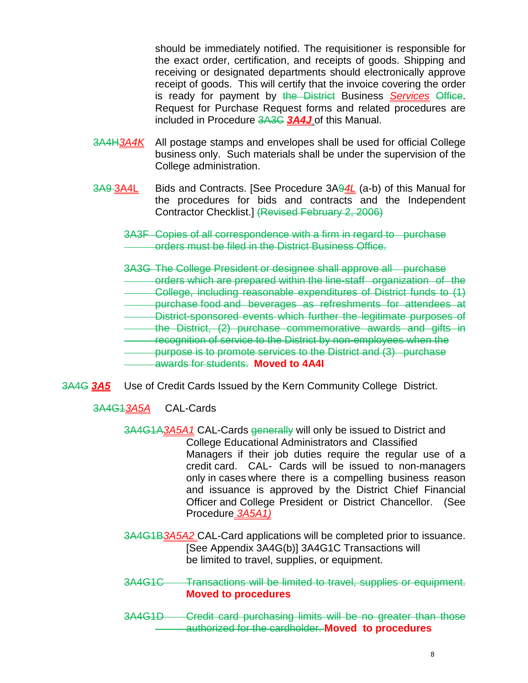should be immediately notified. The requisitioner is responsible for the exact order, certification, and receipts of goods. Shipping and receiving or designated departments should electronically approve receipt of goods. This will certify that the invoice covering the order is ready for payment by the District Business *Services* Office. Request for Purchase Request forms and related procedures are included in Procedure 3A3C *3A4J* of this Manual.

- 3A4H*3A4K* All postage stamps and envelopes shall be used for official College business only. Such materials shall be under the supervision of the College administration.
- 3A9 3A4L Bids and Contracts. [See Procedure 3A9*4L* (a-b) of this Manual for the procedures for bids and contracts and the Independent Contractor Checklist.] (Revised February 2, 2006)
	- 3A3F Copies of all correspondence with a firm in regard to purchase orders must be filed in the District Business Office.
	- 3A3G The College President or designee shall approve all purchase
	- orders which are prepared within the line-staff organization of the
	- College, including reasonable expenditures of District funds to (1) purchase food and beverages as refreshments for attendees at
	- District-sponsored events which further the legitimate purposes of
	- the District, (2) purchase commemorative awards and gifts in
	- recognition of service to the District by non-employees when the
	- purpose is to promote services to the District and (3) purchase

- 3A4G *3A5* Use of Credit Cards Issued by the Kern Community College District.
	- 3A4G1*3A5A* CAL-Cards
		- 3A4G1A*3A5A1* CAL-Cards generally will only be issued to District and College Educational Administrators and Classified Managers if their job duties require the regular use of a credit card. CAL- Cards will be issued to non-managers only in cases where there is a compelling business reason and issuance is approved by the District Chief Financial Officer and College President or District Chancellor. (See Procedure *3A5A1)*
		- 3A4G1B*3A5A2* CAL-Card applications will be completed prior to issuance. [See Appendix 3A4G(b)] 3A4G1C Transactions will be limited to travel, supplies, or equipment.
		- 3A4G1C Transactions will be limited to travel, supplies or equipment. **Moved to procedures**
		- 3A4G1D Credit card purchasing limits will be no greater than those authorized for the cardholder. **Moved to procedures**

awards for students. **Moved to 4A4I**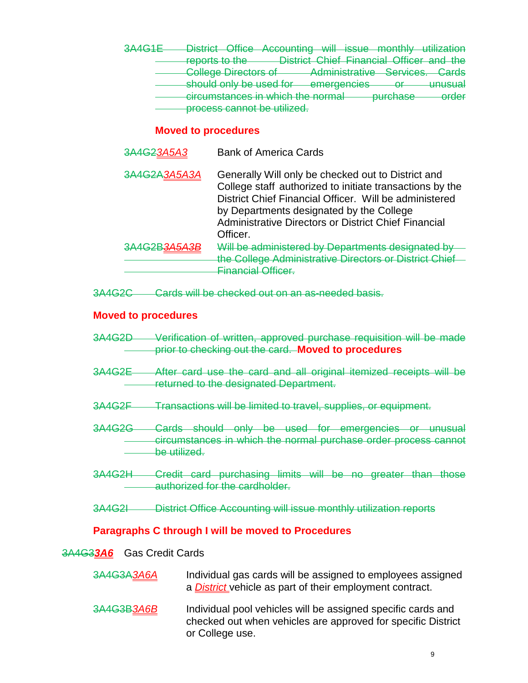3A4G1E District Office Accounting will issue monthly utilization reports to the District Chief Financial Officer and the **College Directors of Administrative Services. Cards** should only be used for emergencies or unusual circumstances in which the normal purchase order process cannot be utilized.

# **Moved to procedures**

3A4G2*3A5A3* Bank of America Cards 3A4G2A*3A5A3A* Generally Will only be checked out to District and College staff authorized to initiate transactions by the District Chief Financial Officer. Will be administered by Departments designated by the College Administrative Directors or District Chief Financial Officer. 3A4G2B*3A5A3B* Will be administered by Departments designated by the College Administrative Directors or District Chief Financial Officer.

3A4G2C Cards will be checked out on an as-needed basis.

## **Moved to procedures**

- 3A4G2D Verification of written, approved purchase requisition will be made prior to checking out the card. **Moved to procedures**
- 3A4G2E After card use the card and all original itemized receipts will be returned to the designated Department.
- 3A4G2F Transactions will be limited to travel, supplies, or equipment.
- 3A4G2G Cards should only be used for emergencies or unusual circumstances in which the normal purchase order process cannot be utilized.
- 3A4G2H Credit card purchasing limits will be no greater than those authorized for the cardholder.
- 3A4G2I District Office Accounting will issue monthly utilization reports

## **Paragraphs C through I will be moved to Procedures**

#### 3A4G3*3A6* Gas Credit Cards

- 3A4G3A*3A6A* Individual gas cards will be assigned to employees assigned a *District* vehicle as part of their employment contract.
- 3A4G3B*3A6B* Individual pool vehicles will be assigned specific cards and checked out when vehicles are approved for specific District or College use.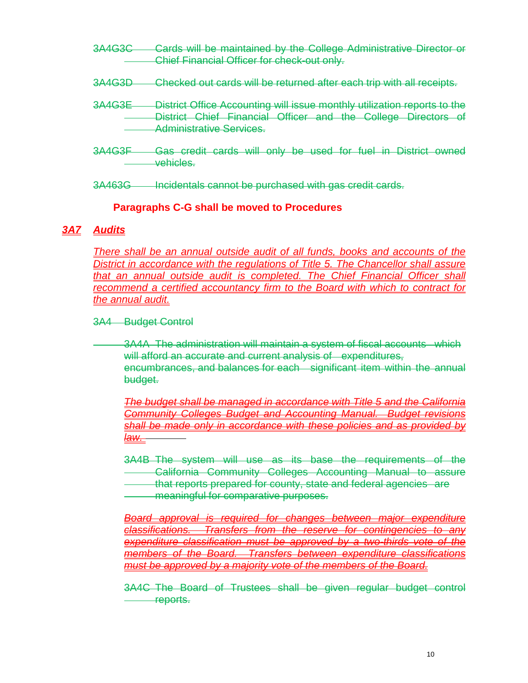- 3A4G3C Cards will be maintained by the College Administrative Director or Chief Financial Officer for check-out only.
- 3A4G3D Checked out cards will be returned after each trip with all receipts.
- 3A4G3E District Office Accounting will issue monthly utilization reports to the District Chief Financial Officer and the College Directors of Administrative Services.
- 3A4G3F Gas credit cards will only be used for fuel in District owned vehicles.

3A463G Incidentals cannot be purchased with gas credit cards.

#### **Paragraphs C-G shall be moved to Procedures**

#### *3A7 Audits*

*There shall be an annual outside audit of all funds, books and accounts of the District in accordance with the regulations of Title 5. The Chancellor shall assure that an annual outside audit is completed. The Chief Financial Officer shall recommend a certified accountancy firm to the Board with which to contract for the annual audit.*

#### 3A4 Budget Control

3A4A The administration will maintain a system of fiscal accounts which will afford an accurate and current analysis of expenditures, encumbrances, and balances for each significant item within the annual budget.

*The budget shall be managed in accordance with Title 5 and the California Community Colleges Budget and Accounting Manual. Budget revisions shall be made only in accordance with these policies and as provided by law.* 

3A4B The system will use as its base the requirements of the California Community Colleges Accounting Manual to assure that reports prepared for county, state and federal agencies are meaningful for comparative purposes.

*Board approval is required for changes between major expenditure classifications. Transfers from the reserve for contingencies to any expenditure classification must be approved by a two-thirds vote of the members of the Board. Transfers between expenditure classifications must be approved by a majority vote of the members of the Board.* 

3A4C The Board of Trustees shall be given regular budget control reports.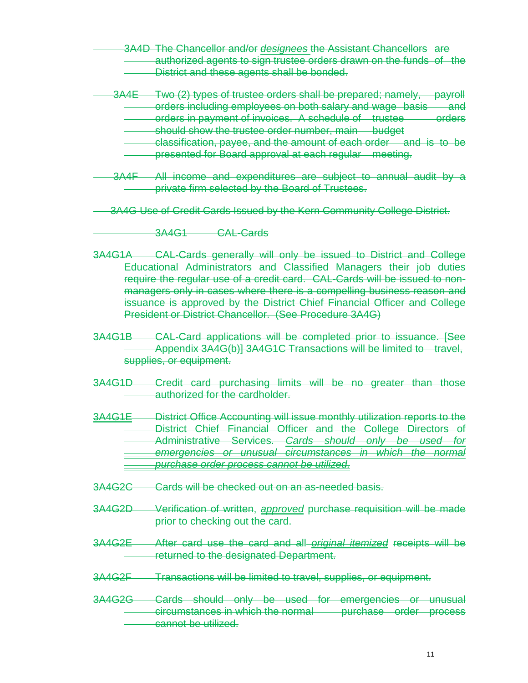3A4D The Chancellor and/or *designees* the Assistant Chancellors are authorized agents to sign trustee orders drawn on the funds of the District and these agents shall be bonded.

- 3A4E Two (2) types of trustee orders shall be prepared; namely, payroll orders including employees on both salary and wage basis and orders in payment of invoices. A schedule of trustee orders should show the trustee order number, main budget
	- classification, payee, and the amount of each order and is to be presented for Board approval at each regular meeting.
- 3A4F All income and expenditures are subject to annual audit by a private firm selected by the Board of Trustees.
- 3A4G Use of Credit Cards Issued by the Kern Community College District.
	- 3A4G1 CAL-Cards
- 3A4G1A CAL-Cards generally will only be issued to District and College Educational Administrators and Classified Managers their job duties require the regular use of a credit card. CAL-Cards will be issued to nonmanagers only in cases where there is a compelling business reason and issuance is approved by the District Chief Financial Officer and College President or District Chancellor. (See Procedure 3A4G)
- 3A4G1B CAL-Card applications will be completed prior to issuance. [See Appendix 3A4G(b)] 3A4G1C Transactions will be limited to travel, supplies, or equipment.
- 3A4G1D Credit card purchasing limits will be no greater than those authorized for the cardholder.
- 3A4G1E District Office Accounting will issue monthly utilization reports to the District Chief Financial Officer and the College Directors of Administrative Services. *Cards should only be used for emergencies or unusual circumstances in which the normal purchase order process cannot be utilized.*
- 3A4G2C Cards will be checked out on an as-needed basis.
- 3A4G2D Verification of written, *approved* purchase requisition will be made prior to checking out the card.
- 3A4G2E After card use the card and all *original itemized* receipts will be returned to the designated Department.
- 3A4G2F Transactions will be limited to travel, supplies, or equipment.
- 3A4G2G Cards should only be used for emergencies or unusual circumstances in which the normal purchase order process cannot be utilized.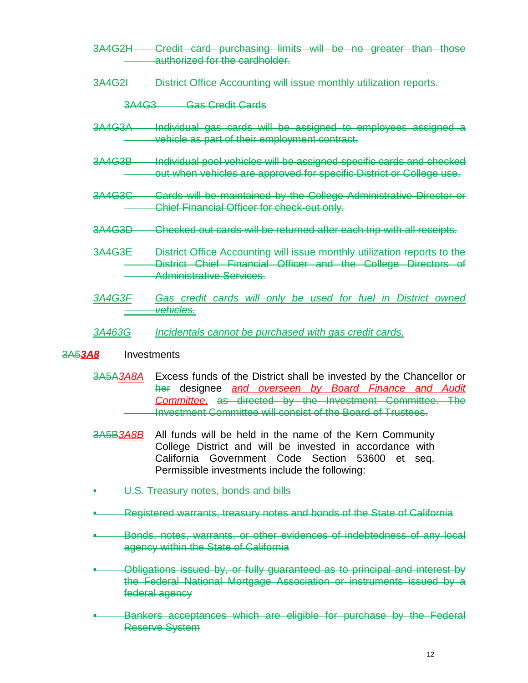- 3A4G2H Credit card purchasing limits will be no greater than those authorized for the cardholder.
- 3A4G2I District Office Accounting will issue monthly utilization reports.

3A4G3 Gas Credit Cards

- 3A4G3A Individual gas cards will be assigned to employees assigned a vehicle as part of their employment contract.
- 3A4G3B Individual pool vehicles will be assigned specific cards and checked out when vehicles are approved for specific District or College use.
- 3A4G3C Cards will be maintained by the College Administrative Director or Chief Financial Officer for check-out only.
- 3A4G3D Checked out cards will be returned after each trip with all receipts.
- 3A4G3E District Office Accounting will issue monthly utilization reports to the District Chief Financial Officer and the College Directors of Administrative Services.
- *3A4G3F Gas credit cards will only be used for fuel in District owned vehicles.*

#### *3A463G Incidentals cannot be purchased with gas credit cards.*

#### 3A5*3A8* Investments

- 3A5A*3A8A* Excess funds of the District shall be invested by the Chancellor or her designee *and overseen by Board Finance and Audit Committee.* as directed by the Investment Committee. The Investment Committee will consist of the Board of Trustees.
- 3A5B*3A8B* All funds will be held in the name of the Kern Community College District and will be invested in accordance with California Government Code Section 53600 et seq. Permissible investments include the following:
- **U.S. Treasury notes, bonds and bills**
- Registered warrants, treasury notes and bonds of the State of California
- Bonds, notes, warrants, or other evidences of indebtedness of any local agency within the State of California
- Obligations issued by, or fully guaranteed as to principal and interest by the Federal National Mortgage Association or instruments issued by a federal agency
- Bankers acceptances which are eligible for purchase by the Federal Reserve System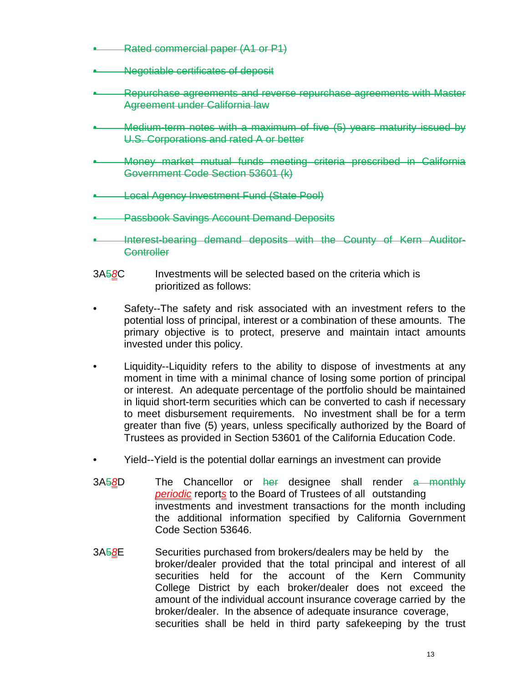- Rated commercial paper (A1 or P1)
- Negotiable certificates of deposit
- Repurchase agreements and reverse repurchase agreements with Master Agreement under California law
- Medium-term notes with a maximum of five (5) years maturity issued by U.S. Corporations and rated A or better
- Money market mutual funds meeting criteria prescribed in California Government Code Section 53601 (k)
- Local Agency Investment Fund (State Pool)
- **Passbook Savings Account Demand Deposits**
- Interest-bearing demand deposits with the County of Kern Auditor-**Controller**
- 3A5*8*C Investments will be selected based on the criteria which is prioritized as follows:
- Safety--The safety and risk associated with an investment refers to the potential loss of principal, interest or a combination of these amounts. The primary objective is to protect, preserve and maintain intact amounts invested under this policy.
- Liquidity--Liquidity refers to the ability to dispose of investments at any moment in time with a minimal chance of losing some portion of principal or interest. An adequate percentage of the portfolio should be maintained in liquid short-term securities which can be converted to cash if necessary to meet disbursement requirements. No investment shall be for a term greater than five (5) years, unless specifically authorized by the Board of Trustees as provided in Section 53601 of the California Education Code.
- Yield--Yield is the potential dollar earnings an investment can provide
- 3A5*8*D The Chancellor or her designee shall render a monthly *periodic* report*s* to the Board of Trustees of all outstanding investments and investment transactions for the month including the additional information specified by California Government Code Section 53646.
- 3A5*8*E Securities purchased from brokers/dealers may be held by the broker/dealer provided that the total principal and interest of all securities held for the account of the Kern Community College District by each broker/dealer does not exceed the amount of the individual account insurance coverage carried by the broker/dealer. In the absence of adequate insurance coverage, securities shall be held in third party safekeeping by the trust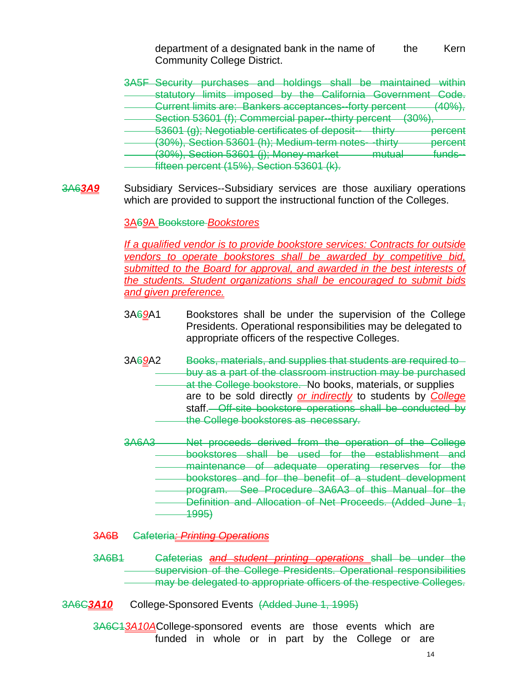department of a designated bank in the name of the Kern Community College District.

- 3A5F Security purchases and holdings shall be maintained within statutory limits imposed by the California Government Code. Current limits are: Bankers acceptances--forty percent (40%), Section 53601 (f); Commercial paper--thirty percent (30%), 53601 (g); Negotiable certificates of deposit-- thirty percent (30%), Section 53601 (h); Medium-term notes- -thirty percent (30%), Section 53601 (j); Money-market mutual funds-fifteen percent (15%), Section 53601 (k).
- 3A6*3A9* Subsidiary Services--Subsidiary services are those auxiliary operations which are provided to support the instructional function of the Colleges.

3A6*9*A Bookstore *Bookstores*

*If a qualified vendor is to provide bookstore services: Contracts for outside vendors to operate bookstores shall be awarded by competitive bid, submitted to the Board for approval, and awarded in the best interests of the students. Student organizations shall be encouraged to submit bids and given preference.*

- 3A6*9*A1 Bookstores shall be under the supervision of the College Presidents. Operational responsibilities may be delegated to appropriate officers of the respective Colleges.
- 3A6*9*A2 Books, materials, and supplies that students are required to buy as a part of the classroom instruction may be purchased at the College bookstore. No books, materials, or supplies are to be sold directly *or indirectly* to students by *College* staff. Off-site bookstore operations shall be conducted by the College bookstores as necessary.
- 3A6A3 Net proceeds derived from the operation of the College bookstores shall be used for the establishment and maintenance of adequate operating reserves for the bookstores and for the benefit of a student development program. See Procedure 3A6A3 of this Manual for the Definition and Allocation of Net Proceeds. (Added June 1, 1995)
- 3A6B Cafeteria*: Printing Operations*
- 3A6B1 Cafeterias *and student printing operations* shall be under the supervision of the College Presidents. Operational responsibilities may be delegated to appropriate officers of the respective Colleges.
- 3A6C*3A10*College-Sponsored Events (Added June 1, 1995)

3A6C1*3A10A*College-sponsored events are those events which are funded in whole or in part by the College or are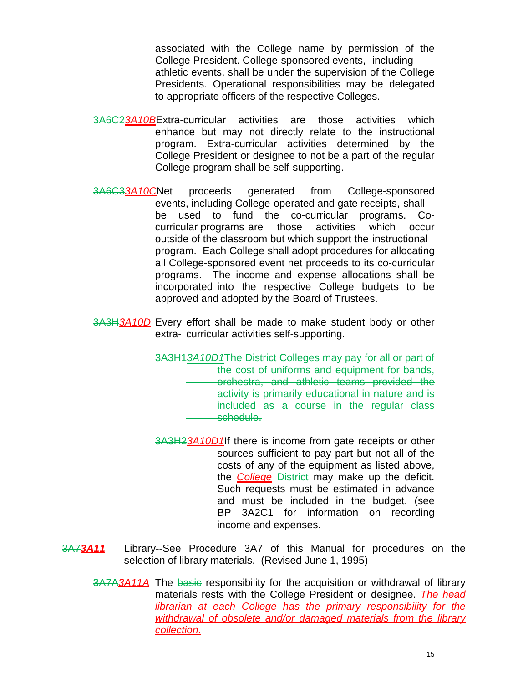associated with the College name by permission of the College President. College-sponsored events, including athletic events, shall be under the supervision of the College Presidents. Operational responsibilities may be delegated to appropriate officers of the respective Colleges.

- 3A6C2*3A10B*Extra-curricular activities are those activities which enhance but may not directly relate to the instructional program. Extra-curricular activities determined by the College President or designee to not be a part of the regular College program shall be self-supporting.
- 3A6C3*3A10C*Net proceeds generated from College-sponsored events, including College-operated and gate receipts, shall be used to fund the co-curricular programs. Cocurricular programs are those activities which occur outside of the classroom but which support the instructional program. Each College shall adopt procedures for allocating all College-sponsored event net proceeds to its co-curricular programs. The income and expense allocations shall be incorporated into the respective College budgets to be approved and adopted by the Board of Trustees.
- 3A3H*3A10D* Every effort shall be made to make student body or other extra- curricular activities self-supporting.

3A3H1*3A10D1*The District Colleges may pay for all or part of the cost of uniforms and equipment for bands, orchestra, and athletic teams provided the activity is primarily educational in nature and is included as a course in the regular class

- schedule.
- 3A3H2*3A10D1*If there is income from gate receipts or other sources sufficient to pay part but not all of the costs of any of the equipment as listed above, the *College* District may make up the deficit. Such requests must be estimated in advance and must be included in the budget. (see BP 3A2C1 for information on recording income and expenses.
- 3A7*3A11* Library--See Procedure 3A7 of this Manual for procedures on the selection of library materials. (Revised June 1, 1995)
	- 3A7A*3A11A* The basic responsibility for the acquisition or withdrawal of library materials rests with the College President or designee. *The head librarian at each College has the primary responsibility for the withdrawal of obsolete and/or damaged materials from the library collection.*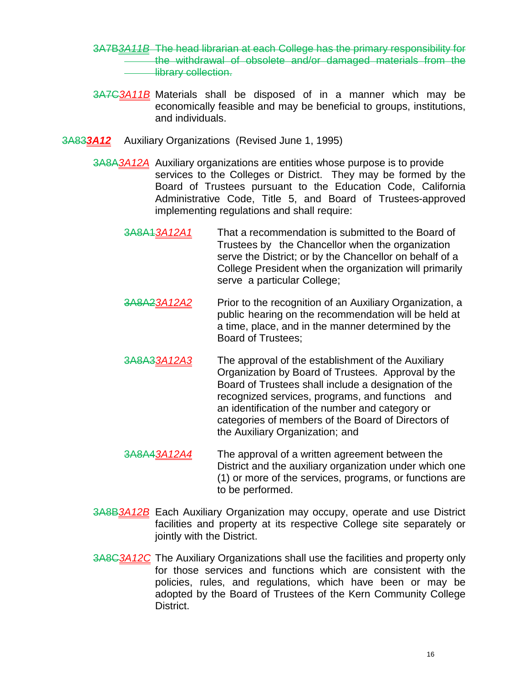- 3A7B*3A11B* The head librarian at each College has the primary responsibility for the withdrawal of obsolete and/or damaged materials from the **library collection.**
- 3A7C*3A11B* Materials shall be disposed of in a manner which may be economically feasible and may be beneficial to groups, institutions, and individuals.
- 3A83*3A12* Auxiliary Organizations (Revised June 1, 1995)
	- 3A8A*3A12A* Auxiliary organizations are entities whose purpose is to provide services to the Colleges or District. They may be formed by the Board of Trustees pursuant to the Education Code, California Administrative Code, Title 5, and Board of Trustees-approved implementing regulations and shall require:
		- 3A8A1*3A12A1* That a recommendation is submitted to the Board of Trustees by the Chancellor when the organization serve the District; or by the Chancellor on behalf of a College President when the organization will primarily serve a particular College;
		- 3A8A2*3A12A2* Prior to the recognition of an Auxiliary Organization, a public hearing on the recommendation will be held at a time, place, and in the manner determined by the Board of Trustees;
		- 3A8A3*3A12A3* The approval of the establishment of the Auxiliary Organization by Board of Trustees. Approval by the Board of Trustees shall include a designation of the recognized services, programs, and functions and an identification of the number and category or categories of members of the Board of Directors of the Auxiliary Organization; and
		- 3A8A4*3A12A4* The approval of a written agreement between the District and the auxiliary organization under which one (1) or more of the services, programs, or functions are to be performed.
	- 3A8B*3A12B* Each Auxiliary Organization may occupy, operate and use District facilities and property at its respective College site separately or jointly with the District.
	- 3A8C*3A12C* The Auxiliary Organizations shall use the facilities and property only for those services and functions which are consistent with the policies, rules, and regulations, which have been or may be adopted by the Board of Trustees of the Kern Community College District.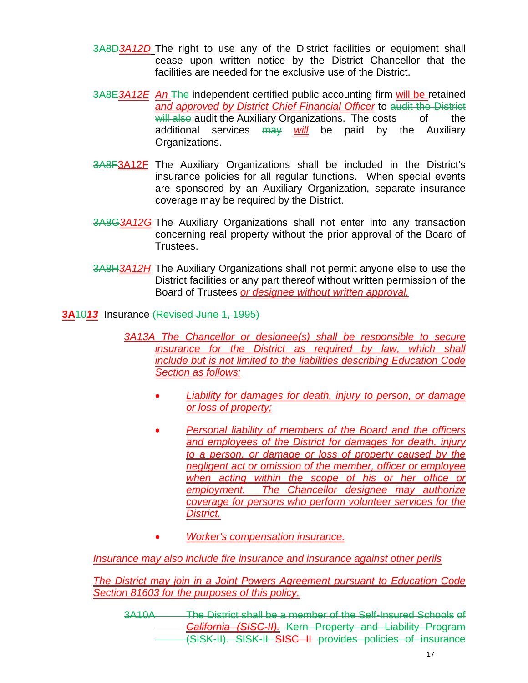- 3A8D*3A12D* The right to use any of the District facilities or equipment shall cease upon written notice by the District Chancellor that the facilities are needed for the exclusive use of the District.
- 3A8E*3A12E An* The independent certified public accounting firm will be retained *and approved by District Chief Financial Officer* to audit the District will also audit the Auxiliary Organizations. The costs of the additional services may *will* be paid by the Auxiliary Organizations.
- 3A8F3A12F The Auxiliary Organizations shall be included in the District's insurance policies for all regular functions. When special events are sponsored by an Auxiliary Organization, separate insurance coverage may be required by the District.
- 3A8G*3A12G* The Auxiliary Organizations shall not enter into any transaction concerning real property without the prior approval of the Board of Trustees.
- 3A8H*3A12H* The Auxiliary Organizations shall not permit anyone else to use the District facilities or any part thereof without written permission of the Board of Trustees *or designee without written approval.*

**3A**10*13* Insurance (Revised June 1, 1995)

*3A13A The Chancellor or designee(s) shall be responsible to secure insurance for the District as required by law, which shall include but is not limited to the liabilities describing Education Code Section as follows:*

- *Liability for damages for death, injury to person, or damage or loss of property;*
- *Personal liability of members of the Board and the officers and employees of the District for damages for death, injury to a person, or damage or loss of property caused by the negligent act or omission of the member, officer or employee when acting within the scope of his or her office or employment. The Chancellor designee may authorize coverage for persons who perform volunteer services for the District.*
- *Worker's compensation insurance.*

*Insurance may also include fire insurance and insurance against other perils*

*The District may join in a Joint Powers Agreement pursuant to Education Code Section 81603 for the purposes of this policy.*

3A10A The District shall be a member of the Self-Insured Schools of *California (SISC-II).* Kern Property and Liability Program (SISK-II). SISK-II SISC II provides policies of insurance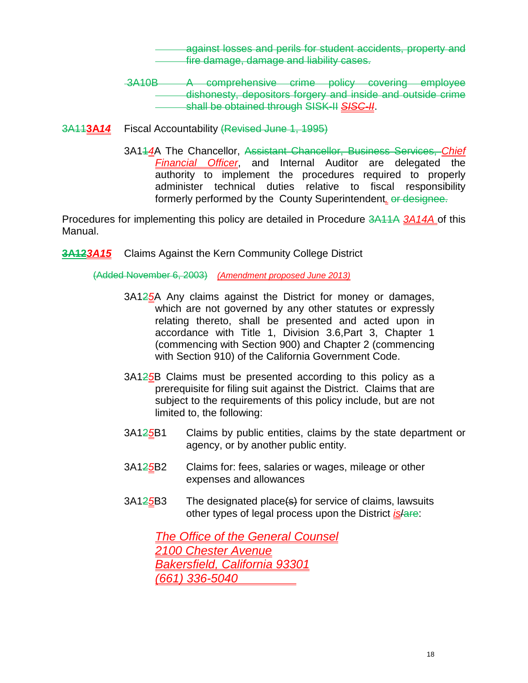against losses and perils for student accidents, property and **Fire damage, damage and liability cases.** 

- 3A10B A comprehensive crime policy covering employee dishonesty, depositors forgery and inside and outside crime shall be obtained through SISK-II *SISC-II*.
- 3A11**3A***14* Fiscal Accountability (Revised June 1, 1995)
	- 3A11*4*A The Chancellor, Assistant Chancellor, Business Services, *Chief Financial Officer*, and Internal Auditor are delegated the authority to implement the procedures required to properly administer technical duties relative to fiscal responsibility formerly performed by the County Superintendent. or designee.

Procedures for implementing this policy are detailed in Procedure 3A11A *3A14A* of this Manual.

**3A12***3A15* Claims Against the Kern Community College District

(Added November 6, 2003) *(Amendment proposed June 2013)*

- 3A12*5*A Any claims against the District for money or damages, which are not governed by any other statutes or expressly relating thereto, shall be presented and acted upon in accordance with Title 1, Division 3.6,Part 3, Chapter 1 (commencing with Section 900) and Chapter 2 (commencing with Section 910) of the California Government Code.
- 3A12*5*B Claims must be presented according to this policy as a prerequisite for filing suit against the District. Claims that are subject to the requirements of this policy include, but are not limited to, the following:
- 3A12*5*B1 Claims by public entities, claims by the state department or agency, or by another public entity.
- 3A12*5*B2 Claims for: fees, salaries or wages, mileage or other expenses and allowances
- 3A12*5*B3 The designated place(s) for service of claims, lawsuits other types of legal process upon the District *is*/are:

*The Office of the General Counsel 2100 Chester Avenue Bakersfield, California 93301 (661) 336-5040*